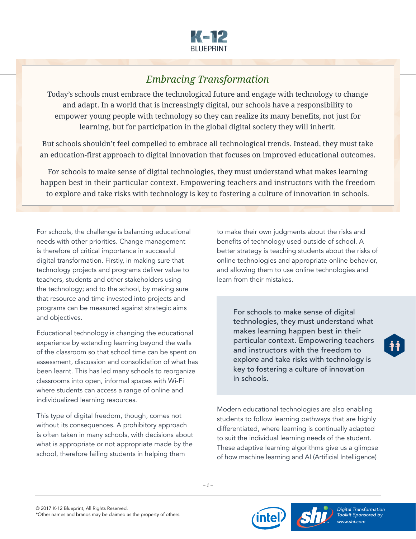

## *Embracing Transformation*

Today's schools must embrace the technological future and engage with technology to change and adapt. In a world that is increasingly digital, our schools have a responsibility to empower young people with technology so they can realize its many benefits, not just for learning, but for participation in the global digital society they will inherit.

But schools shouldn't feel compelled to embrace all technological trends. Instead, they must take an education-first approach to digital innovation that focuses on improved educational outcomes.

For schools to make sense of digital technologies, they must understand what makes learning happen best in their particular context. Empowering teachers and instructors with the freedom to explore and take risks with technology is key to fostering a culture of innovation in schools.

For schools, the challenge is balancing educational needs with other priorities. Change management is therefore of critical importance in successful digital transformation. Firstly, in making sure that technology projects and programs deliver value to teachers, students and other stakeholders using the technology; and to the school, by making sure that resource and time invested into projects and programs can be measured against strategic aims and objectives.

Educational technology is changing the educational experience by extending learning beyond the walls of the classroom so that school time can be spent on assessment, discussion and consolidation of what has been learnt. This has led many schools to reorganize classrooms into open, informal spaces with Wi-Fi where students can access a range of online and individualized learning resources.

This type of digital freedom, though, comes not without its consequences. A prohibitory approach is often taken in many schools, with decisions about what is appropriate or not appropriate made by the school, therefore failing students in helping them

to make their own judgments about the risks and benefits of technology used outside of school. A better strategy is teaching students about the risks of online technologies and appropriate online behavior, and allowing them to use online technologies and learn from their mistakes.

For schools to make sense of digital technologies, they must understand what makes learning happen best in their particular context. Empowering teachers and instructors with the freedom to explore and take risks with technology is key to fostering a culture of innovation in schools.

Modern educational technologies are also enabling students to follow learning pathways that are highly differentiated, where learning is continually adapted to suit the individual learning needs of the student. These adaptive learning algorithms give us a glimpse of how machine learning and AI (Artificial Intelligence)